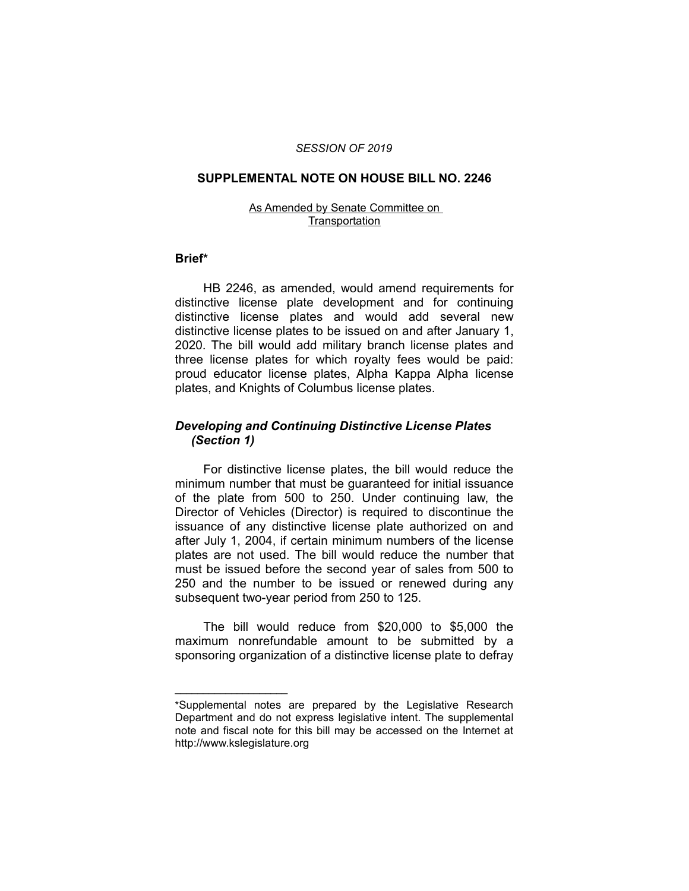### *SESSION OF 2019*

### **SUPPLEMENTAL NOTE ON HOUSE BILL NO. 2246**

#### As Amended by Senate Committee on **Transportation**

### **Brief\***

HB 2246, as amended, would amend requirements for distinctive license plate development and for continuing distinctive license plates and would add several new distinctive license plates to be issued on and after January 1, 2020. The bill would add military branch license plates and three license plates for which royalty fees would be paid: proud educator license plates, Alpha Kappa Alpha license plates, and Knights of Columbus license plates.

# *Developing and Continuing Distinctive License Plates (Section 1)*

For distinctive license plates, the bill would reduce the minimum number that must be guaranteed for initial issuance of the plate from 500 to 250. Under continuing law, the Director of Vehicles (Director) is required to discontinue the issuance of any distinctive license plate authorized on and after July 1, 2004, if certain minimum numbers of the license plates are not used. The bill would reduce the number that must be issued before the second year of sales from 500 to 250 and the number to be issued or renewed during any subsequent two-year period from 250 to 125.

The bill would reduce from \$20,000 to \$5,000 the maximum nonrefundable amount to be submitted by a sponsoring organization of a distinctive license plate to defray

 $\overline{\phantom{a}}$  , where  $\overline{\phantom{a}}$  , where  $\overline{\phantom{a}}$ 

<sup>\*</sup>Supplemental notes are prepared by the Legislative Research Department and do not express legislative intent. The supplemental note and fiscal note for this bill may be accessed on the Internet at http://www.kslegislature.org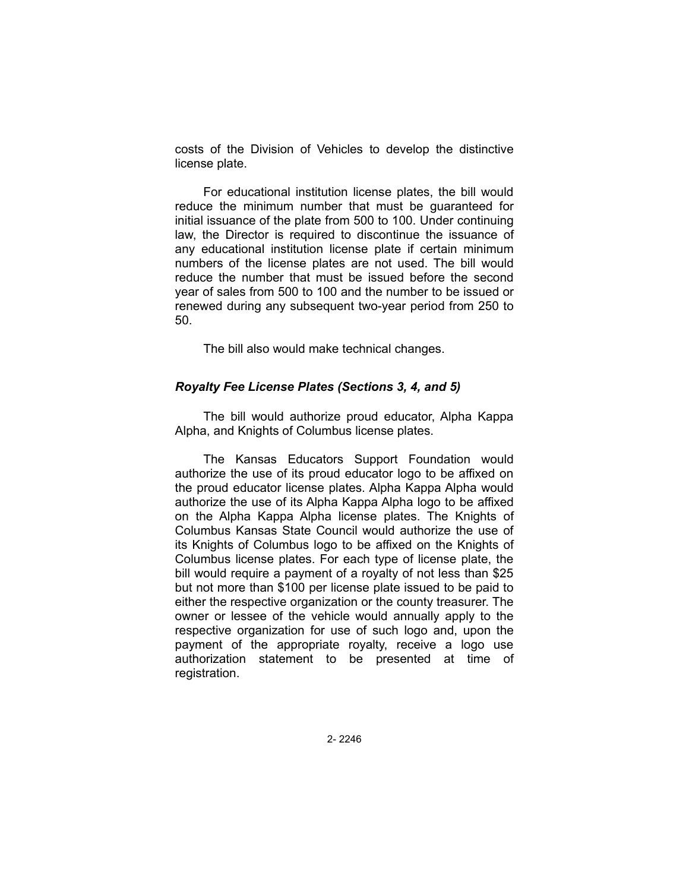costs of the Division of Vehicles to develop the distinctive license plate.

For educational institution license plates, the bill would reduce the minimum number that must be guaranteed for initial issuance of the plate from 500 to 100. Under continuing law, the Director is required to discontinue the issuance of any educational institution license plate if certain minimum numbers of the license plates are not used. The bill would reduce the number that must be issued before the second year of sales from 500 to 100 and the number to be issued or renewed during any subsequent two-year period from 250 to 50.

The bill also would make technical changes.

## *Royalty Fee License Plates (Sections 3, 4, and 5)*

The bill would authorize proud educator, Alpha Kappa Alpha, and Knights of Columbus license plates.

The Kansas Educators Support Foundation would authorize the use of its proud educator logo to be affixed on the proud educator license plates. Alpha Kappa Alpha would authorize the use of its Alpha Kappa Alpha logo to be affixed on the Alpha Kappa Alpha license plates. The Knights of Columbus Kansas State Council would authorize the use of its Knights of Columbus logo to be affixed on the Knights of Columbus license plates. For each type of license plate, the bill would require a payment of a royalty of not less than \$25 but not more than \$100 per license plate issued to be paid to either the respective organization or the county treasurer. The owner or lessee of the vehicle would annually apply to the respective organization for use of such logo and, upon the payment of the appropriate royalty, receive a logo use authorization statement to be presented at time of registration.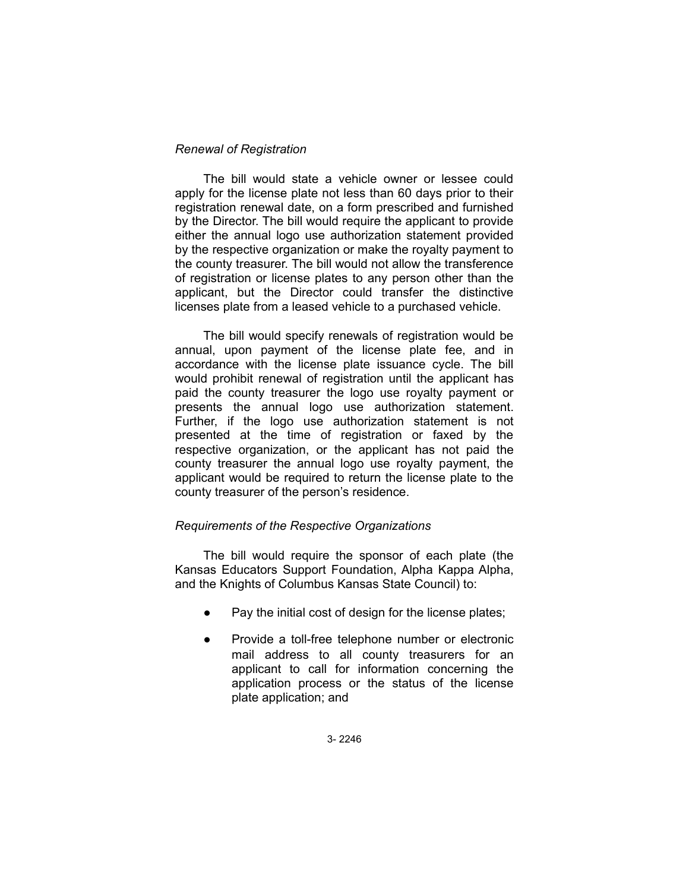## *Renewal of Registration*

The bill would state a vehicle owner or lessee could apply for the license plate not less than 60 days prior to their registration renewal date, on a form prescribed and furnished by the Director. The bill would require the applicant to provide either the annual logo use authorization statement provided by the respective organization or make the royalty payment to the county treasurer. The bill would not allow the transference of registration or license plates to any person other than the applicant, but the Director could transfer the distinctive licenses plate from a leased vehicle to a purchased vehicle.

The bill would specify renewals of registration would be annual, upon payment of the license plate fee, and in accordance with the license plate issuance cycle. The bill would prohibit renewal of registration until the applicant has paid the county treasurer the logo use royalty payment or presents the annual logo use authorization statement. Further, if the logo use authorization statement is not presented at the time of registration or faxed by the respective organization, or the applicant has not paid the county treasurer the annual logo use royalty payment, the applicant would be required to return the license plate to the county treasurer of the person's residence.

# *Requirements of the Respective Organizations*

The bill would require the sponsor of each plate (the Kansas Educators Support Foundation, Alpha Kappa Alpha, and the Knights of Columbus Kansas State Council) to:

- Pay the initial cost of design for the license plates;
- Provide a toll-free telephone number or electronic mail address to all county treasurers for an applicant to call for information concerning the application process or the status of the license plate application; and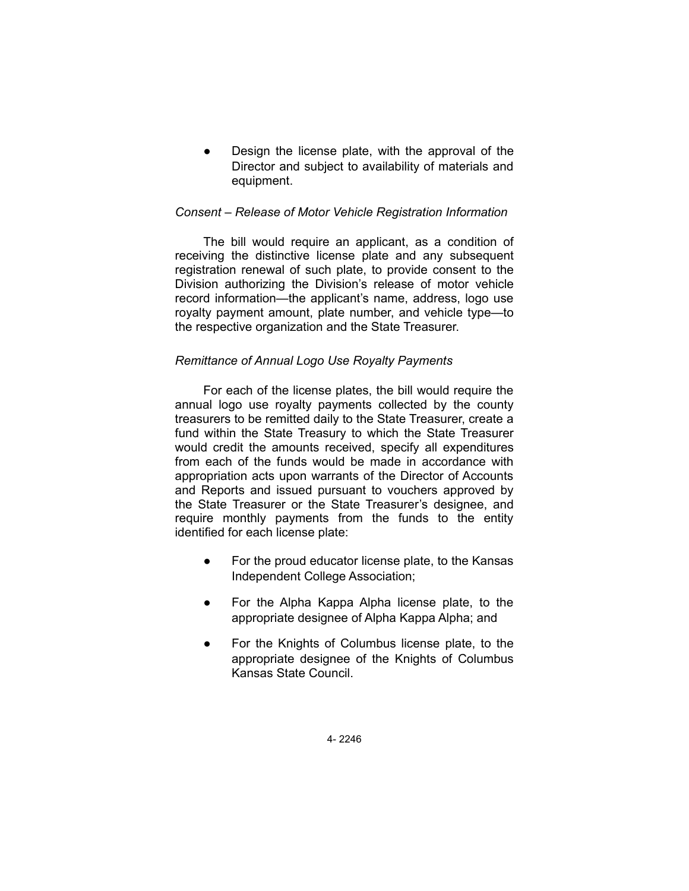Design the license plate, with the approval of the Director and subject to availability of materials and equipment.

# *Consent – Release of Motor Vehicle Registration Information*

The bill would require an applicant, as a condition of receiving the distinctive license plate and any subsequent registration renewal of such plate, to provide consent to the Division authorizing the Division's release of motor vehicle record information—the applicant's name, address, logo use royalty payment amount, plate number, and vehicle type—to the respective organization and the State Treasurer.

# *Remittance of Annual Logo Use Royalty Payments*

For each of the license plates, the bill would require the annual logo use royalty payments collected by the county treasurers to be remitted daily to the State Treasurer, create a fund within the State Treasury to which the State Treasurer would credit the amounts received, specify all expenditures from each of the funds would be made in accordance with appropriation acts upon warrants of the Director of Accounts and Reports and issued pursuant to vouchers approved by the State Treasurer or the State Treasurer's designee, and require monthly payments from the funds to the entity identified for each license plate:

- For the proud educator license plate, to the Kansas Independent College Association;
- For the Alpha Kappa Alpha license plate, to the appropriate designee of Alpha Kappa Alpha; and
- For the Knights of Columbus license plate, to the appropriate designee of the Knights of Columbus Kansas State Council.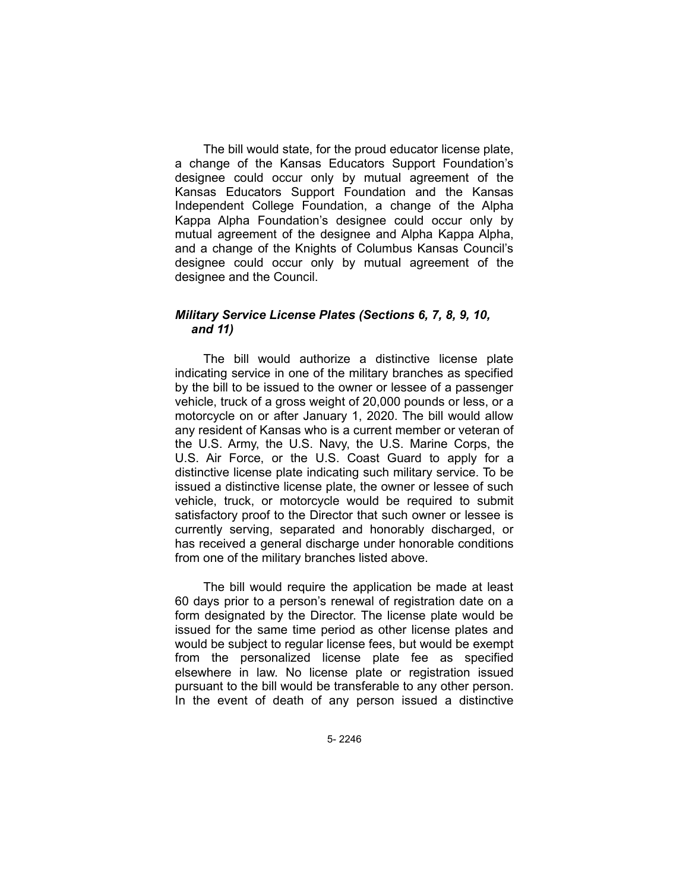The bill would state, for the proud educator license plate, a change of the Kansas Educators Support Foundation's designee could occur only by mutual agreement of the Kansas Educators Support Foundation and the Kansas Independent College Foundation, a change of the Alpha Kappa Alpha Foundation's designee could occur only by mutual agreement of the designee and Alpha Kappa Alpha, and a change of the Knights of Columbus Kansas Council's designee could occur only by mutual agreement of the designee and the Council.

# *Military Service License Plates (Sections 6, 7, 8, 9, 10, and 11)*

The bill would authorize a distinctive license plate indicating service in one of the military branches as specified by the bill to be issued to the owner or lessee of a passenger vehicle, truck of a gross weight of 20,000 pounds or less, or a motorcycle on or after January 1, 2020. The bill would allow any resident of Kansas who is a current member or veteran of the U.S. Army, the U.S. Navy, the U.S. Marine Corps, the U.S. Air Force, or the U.S. Coast Guard to apply for a distinctive license plate indicating such military service. To be issued a distinctive license plate, the owner or lessee of such vehicle, truck, or motorcycle would be required to submit satisfactory proof to the Director that such owner or lessee is currently serving, separated and honorably discharged, or has received a general discharge under honorable conditions from one of the military branches listed above.

The bill would require the application be made at least 60 days prior to a person's renewal of registration date on a form designated by the Director. The license plate would be issued for the same time period as other license plates and would be subject to regular license fees, but would be exempt from the personalized license plate fee as specified elsewhere in law. No license plate or registration issued pursuant to the bill would be transferable to any other person. In the event of death of any person issued a distinctive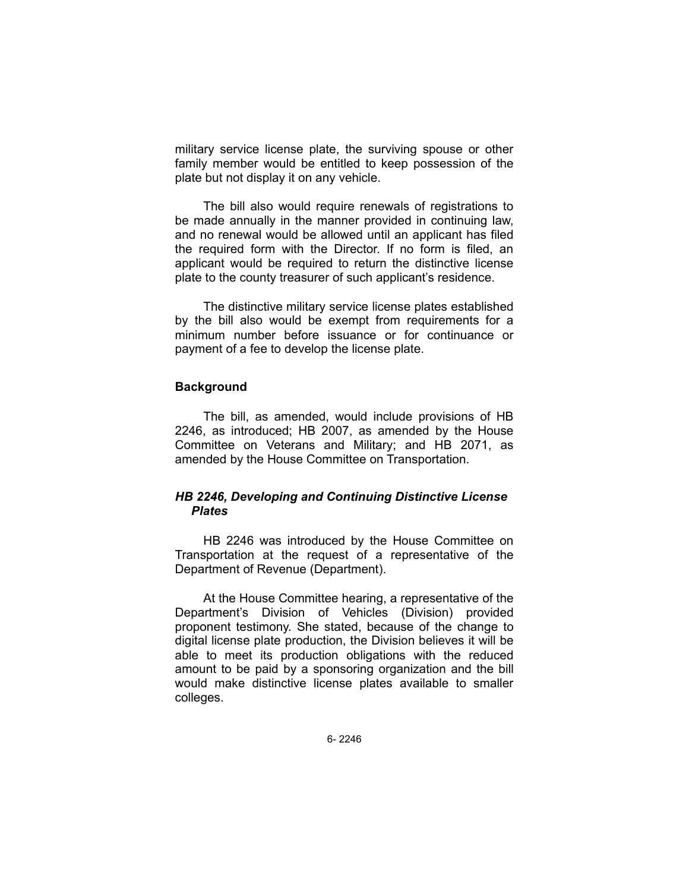military service license plate, the surviving spouse or other family member would be entitled to keep possession of the plate but not display it on any vehicle.

The bill also would require renewals of registrations to be made annually in the manner provided in continuing law, and no renewal would be allowed until an applicant has filed the required form with the Director. If no form is filed, an applicant would be required to return the distinctive license plate to the county treasurer of such applicant's residence.

The distinctive military service license plates established by the bill also would be exempt from requirements for a minimum number before issuance or for continuance or payment of a fee to develop the license plate.

## **Background**

The bill, as amended, would include provisions of HB 2246, as introduced; HB 2007, as amended by the House Committee on Veterans and Military; and HB 2071, as amended by the House Committee on Transportation.

# *HB 2246, Developing and Continuing Distinctive License Plates*

HB 2246 was introduced by the House Committee on Transportation at the request of a representative of the Department of Revenue (Department).

At the House Committee hearing, a representative of the Department's Division of Vehicles (Division) provided proponent testimony. She stated, because of the change to digital license plate production, the Division believes it will be able to meet its production obligations with the reduced amount to be paid by a sponsoring organization and the bill would make distinctive license plates available to smaller colleges.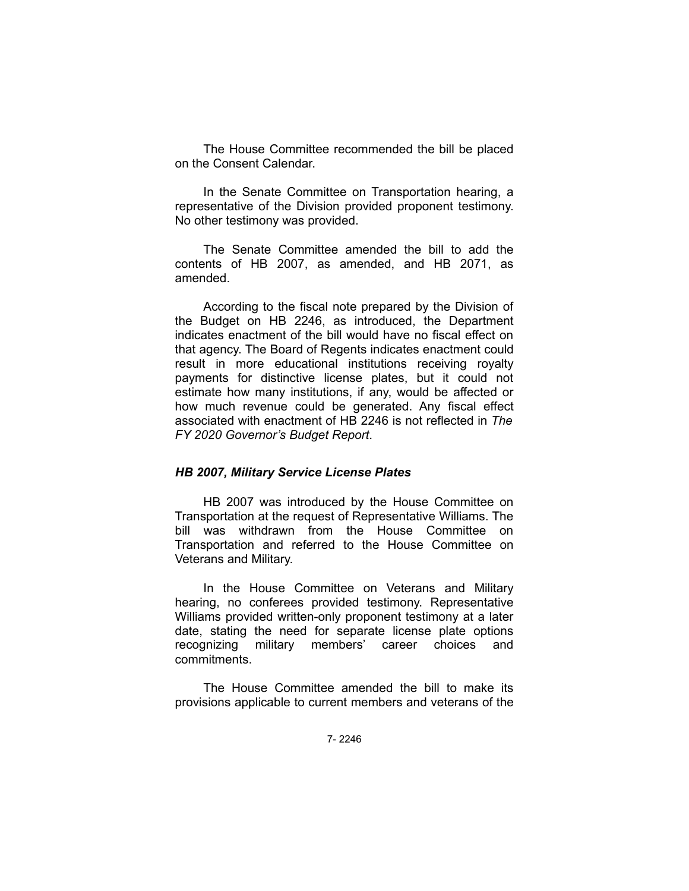The House Committee recommended the bill be placed on the Consent Calendar.

In the Senate Committee on Transportation hearing, a representative of the Division provided proponent testimony. No other testimony was provided.

The Senate Committee amended the bill to add the contents of HB 2007, as amended, and HB 2071, as amended.

According to the fiscal note prepared by the Division of the Budget on HB 2246, as introduced, the Department indicates enactment of the bill would have no fiscal effect on that agency. The Board of Regents indicates enactment could result in more educational institutions receiving royalty payments for distinctive license plates, but it could not estimate how many institutions, if any, would be affected or how much revenue could be generated. Any fiscal effect associated with enactment of HB 2246 is not reflected in *The FY 2020 Governor's Budget Report*.

## *HB 2007, Military Service License Plates*

HB 2007 was introduced by the House Committee on Transportation at the request of Representative Williams. The bill was withdrawn from the House Committee on Transportation and referred to the House Committee on Veterans and Military.

In the House Committee on Veterans and Military hearing, no conferees provided testimony. Representative Williams provided written-only proponent testimony at a later date, stating the need for separate license plate options recognizing military members' career choices and commitments.

The House Committee amended the bill to make its provisions applicable to current members and veterans of the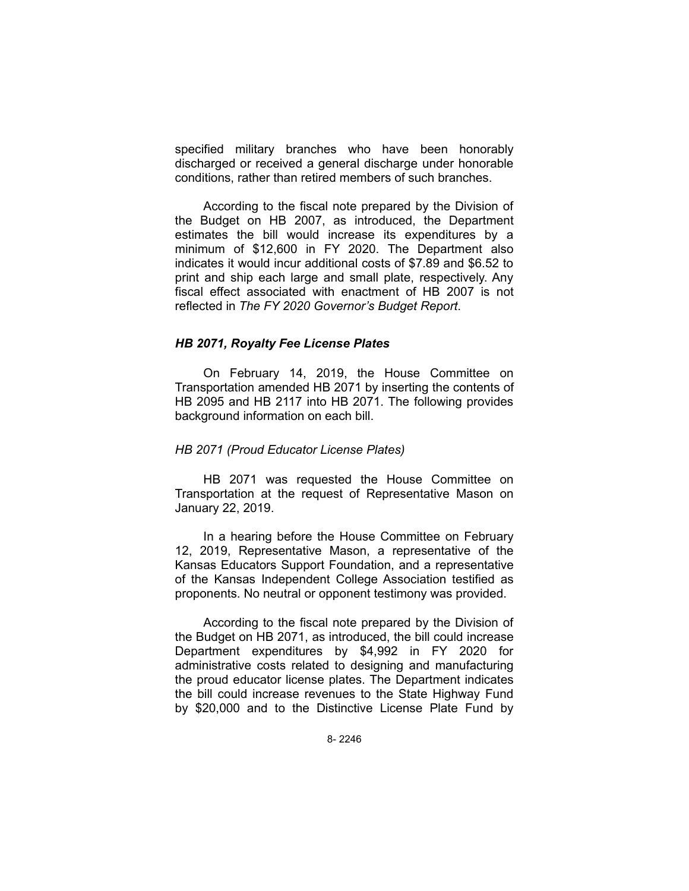specified military branches who have been honorably discharged or received a general discharge under honorable conditions, rather than retired members of such branches.

According to the fiscal note prepared by the Division of the Budget on HB 2007, as introduced, the Department estimates the bill would increase its expenditures by a minimum of \$12,600 in FY 2020. The Department also indicates it would incur additional costs of \$7.89 and \$6.52 to print and ship each large and small plate, respectively. Any fiscal effect associated with enactment of HB 2007 is not reflected in *The FY 2020 Governor's Budget Report*.

## *HB 2071, Royalty Fee License Plates*

On February 14, 2019, the House Committee on Transportation amended HB 2071 by inserting the contents of HB 2095 and HB 2117 into HB 2071. The following provides background information on each bill.

#### *HB 2071 (Proud Educator License Plates)*

HB 2071 was requested the House Committee on Transportation at the request of Representative Mason on January 22, 2019.

In a hearing before the House Committee on February 12, 2019, Representative Mason, a representative of the Kansas Educators Support Foundation, and a representative of the Kansas Independent College Association testified as proponents. No neutral or opponent testimony was provided.

According to the fiscal note prepared by the Division of the Budget on HB 2071, as introduced, the bill could increase Department expenditures by \$4,992 in FY 2020 for administrative costs related to designing and manufacturing the proud educator license plates. The Department indicates the bill could increase revenues to the State Highway Fund by \$20,000 and to the Distinctive License Plate Fund by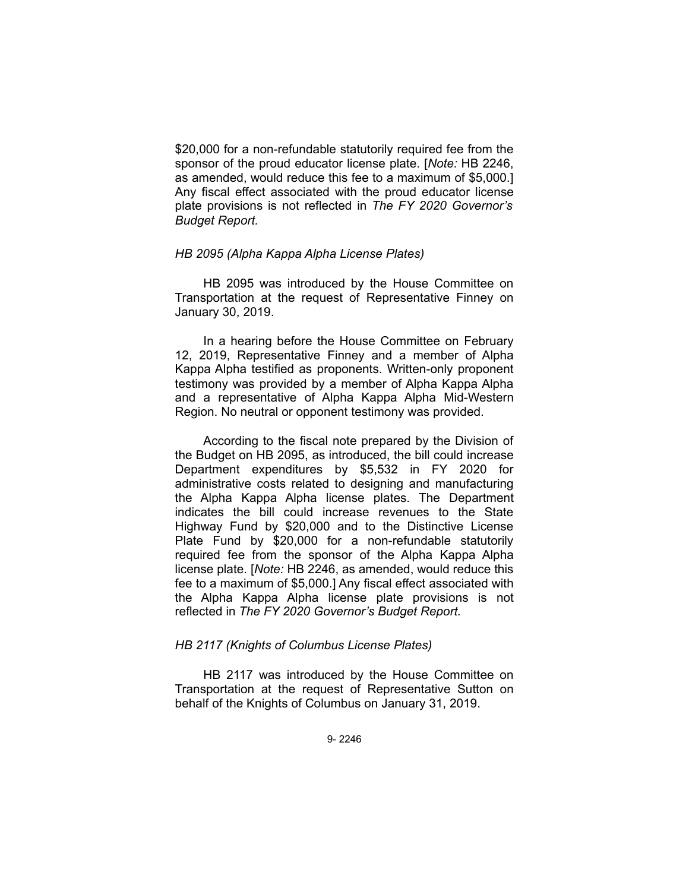\$20,000 for a non-refundable statutorily required fee from the sponsor of the proud educator license plate. [*Note:* HB 2246, as amended, would reduce this fee to a maximum of \$5,000.] Any fiscal effect associated with the proud educator license plate provisions is not reflected in *The FY 2020 Governor's Budget Report.*

## *HB 2095 (Alpha Kappa Alpha License Plates)*

HB 2095 was introduced by the House Committee on Transportation at the request of Representative Finney on January 30, 2019.

In a hearing before the House Committee on February 12, 2019, Representative Finney and a member of Alpha Kappa Alpha testified as proponents. Written-only proponent testimony was provided by a member of Alpha Kappa Alpha and a representative of Alpha Kappa Alpha Mid-Western Region. No neutral or opponent testimony was provided.

According to the fiscal note prepared by the Division of the Budget on HB 2095, as introduced, the bill could increase Department expenditures by \$5,532 in FY 2020 for administrative costs related to designing and manufacturing the Alpha Kappa Alpha license plates. The Department indicates the bill could increase revenues to the State Highway Fund by \$20,000 and to the Distinctive License Plate Fund by \$20,000 for a non-refundable statutorily required fee from the sponsor of the Alpha Kappa Alpha license plate. [*Note:* HB 2246, as amended, would reduce this fee to a maximum of \$5,000.] Any fiscal effect associated with the Alpha Kappa Alpha license plate provisions is not reflected in *The FY 2020 Governor's Budget Report.*

#### *HB 2117 (Knights of Columbus License Plates)*

HB 2117 was introduced by the House Committee on Transportation at the request of Representative Sutton on behalf of the Knights of Columbus on January 31, 2019.